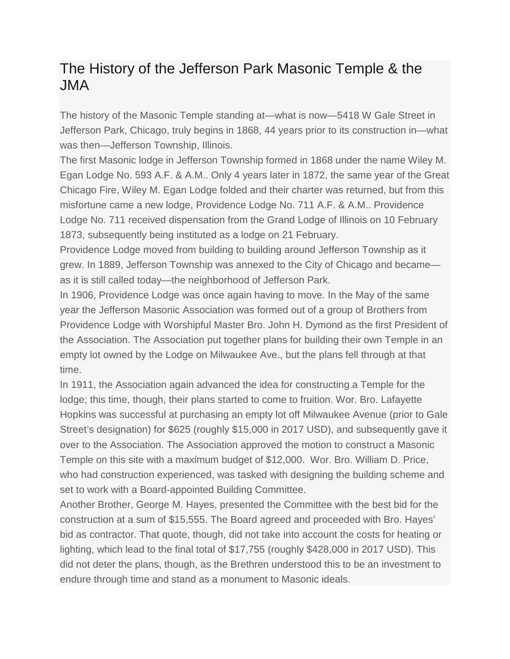## The History of the Jefferson Park Masonic Temple & the JMA

The history of the Masonic Temple standing at—what is now—5418 W Gale Street in Jefferson Park, Chicago, truly begins in 1868, 44 years prior to its construction in—what was then—Jefferson Township, Illinois.

The first Masonic lodge in Jefferson Township formed in 1868 under the name Wiley M. Egan Lodge No. 593 A.F. & A.M.. Only 4 years later in 1872, the same year of the Great Chicago Fire, Wiley M. Egan Lodge folded and their charter was returned, but from this misfortune came a new lodge, Providence Lodge No. 711 A.F. & A.M.. Providence Lodge No. 711 received dispensation from the Grand Lodge of Illinois on 10 February 1873, subsequently being instituted as a lodge on 21 February.

Providence Lodge moved from building to building around Jefferson Township as it grew. In 1889, Jefferson Township was annexed to the City of Chicago and became as it is still called today—the neighborhood of Jefferson Park.

In 1906, Providence Lodge was once again having to move. In the May of the same year the Jefferson Masonic Association was formed out of a group of Brothers from Providence Lodge with Worshipful Master Bro. John H. Dymond as the first President of the Association. The Association put together plans for building their own Temple in an empty lot owned by the Lodge on Milwaukee Ave., but the plans fell through at that time.

In 1911, the Association again advanced the idea for constructing a Temple for the lodge; this time, though, their plans started to come to fruition. Wor. Bro. Lafayette Hopkins was successful at purchasing an empty lot off Milwaukee Avenue (prior to Gale Street's designation) for \$625 (roughly \$15,000 in 2017 USD), and subsequently gave it over to the Association. The Association approved the motion to construct a Masonic Temple on this site with a maximum budget of \$12,000. Wor. Bro. William D. Price, who had construction experienced, was tasked with designing the building scheme and set to work with a Board-appointed Building Committee.

Another Brother, George M. Hayes, presented the Committee with the best bid for the construction at a sum of \$15,555. The Board agreed and proceeded with Bro. Hayes' bid as contractor. That quote, though, did not take into account the costs for heating or lighting, which lead to the final total of \$17,755 (roughly \$428,000 in 2017 USD). This did not deter the plans, though, as the Brethren understood this to be an investment to endure through time and stand as a monument to Masonic ideals.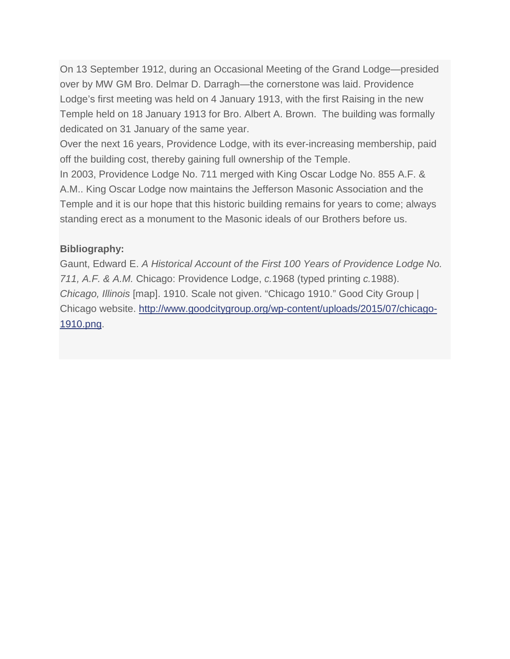On 13 September 1912, during an Occasional Meeting of the Grand Lodge—presided over by MW GM Bro. Delmar D. Darragh—the cornerstone was laid. Providence Lodge's first meeting was held on 4 January 1913, with the first Raising in the new Temple held on 18 January 1913 for Bro. Albert A. Brown. The building was formally dedicated on 31 January of the same year.

Over the next 16 years, Providence Lodge, with its ever-increasing membership, paid off the building cost, thereby gaining full ownership of the Temple.

In 2003, Providence Lodge No. 711 merged with King Oscar Lodge No. 855 A.F. & A.M.. King Oscar Lodge now maintains the Jefferson Masonic Association and the Temple and it is our hope that this historic building remains for years to come; always standing erect as a monument to the Masonic ideals of our Brothers before us.

## **Bibliography:**

Gaunt, Edward E. A Historical Account of the First 100 Years of Providence Lodge No. 711, A.F. & A.M. Chicago: Providence Lodge, c.1968 (typed printing c.1988). Chicago, Illinois [map]. 1910. Scale not given. "Chicago 1910." Good City Group | Chicago website. http://www.goodcitygroup.org/wp-content/uploads/2015/07/chicago-1910.png.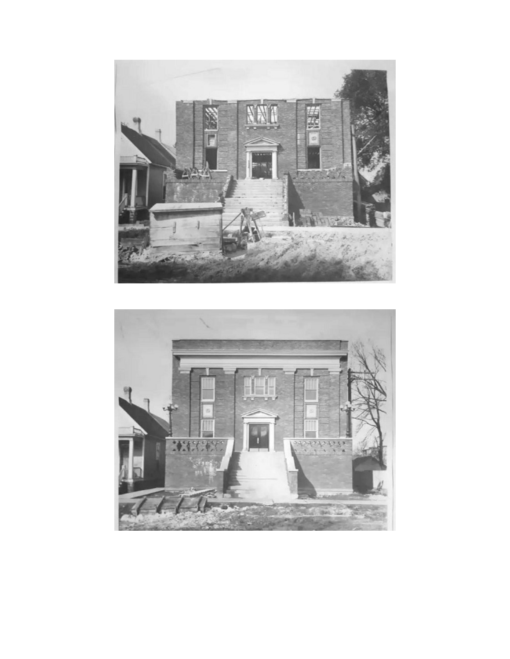

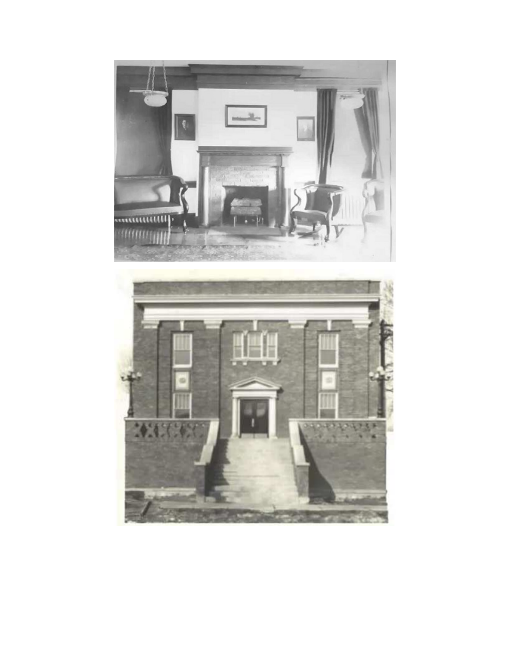